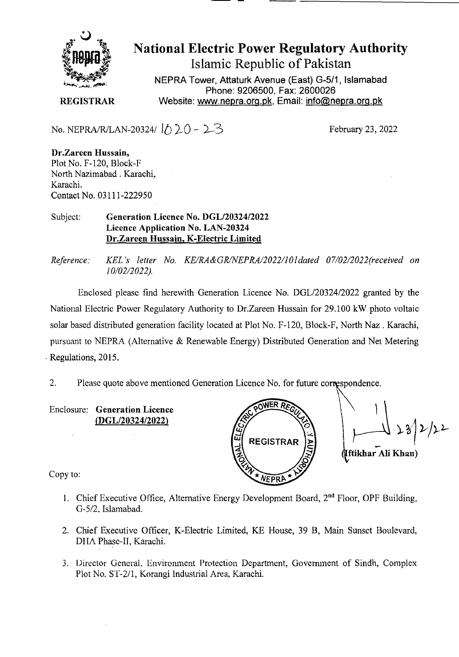

## **National Electric Power Regulatory Authority**

**Islamic Republic of Pakistan** 

**NEPRA Tower, Attaturk Avenue (East) G-511, Islamabad Phone: 9206500, Fax: 2600026 REGISTRAR Website: www.nepra.org.pk, Email: info@nepra.org.pk** 

No. NEPRA/R/LAN-20324/  $\lbrack \uparrow \rangle$  20 - 2-3

February 23, 2022

**Dr.Zareen Hussain,**  Plot No. F-120, Block-F North Nazimabad . Karachi. Karachi. Contact No. 03111-222950

## Subject: Generation Licence No. DGL/20324/2022 Licence Application No. LAN-20324 **Dr.Zareen Hussain, K-Electric Limited**

*Reference: KEL 's letter No. KE/RA&GRINEPRA/2022/l0ldated 07/02/2022(received on 10/02/2022).* 

Enclosed please find herewith Generation Licence No. DGL/20324/2022 granted by the National Electric Power Regulatory Authority to Dr.Zareen Hussain for 29.100 kW photo voltaic solar based distributed generation facility located at Plot No. F-120, Block-F, North Naz. Karachi, pursuant to NEPRA (Alternative & Renewable Energy) Distributed Generation and Net Metering Regulations, 2015.

2. Please quote above mentioned Generation Licence No. for future correspondence.

Enclosure: Generation Licence *(DGL120324/2022)* 



**ftikharAli Kb an)** 

Copy to:

- 1. Chief Executive Office, Alternative Energy Development Board, 2<sup>nd</sup> Floor, OPF Building, 0-5/2, Islamabad.
- 2. Chief Executive Officer, K-Electric Limited, KE House, 39 B, Main Sunset Boulevard, DFIA Phase-IT, Karachi.
- 3. Director General, Environment Protection Department, Government of Sindh. Complex Plot No. ST-2/l, Korangi Industrial Area, Karachi.